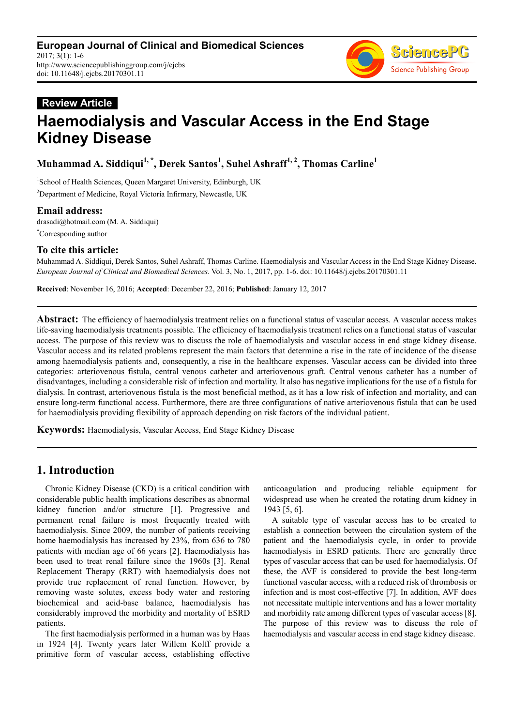# **Review Article Haemodialysis and Vascular Access in the End Stage Kidney Disease**

**Muhammad A. Siddiqui1, \*, Derek Santos<sup>1</sup> , Suhel Ashraff1, 2, Thomas Carline<sup>1</sup>**

<sup>1</sup>School of Health Sciences, Queen Margaret University, Edinburgh, UK <sup>2</sup>Department of Medicine, Royal Victoria Infirmary, Newcastle, UK

## **Email address:**

drasadi@hotmail.com (M. A. Siddiqui) \*Corresponding author

## **To cite this article:**

Muhammad A. Siddiqui, Derek Santos, Suhel Ashraff, Thomas Carline. Haemodialysis and Vascular Access in the End Stage Kidney Disease. *European Journal of Clinical and Biomedical Sciences.* Vol. 3, No. 1, 2017, pp. 1-6. doi: 10.11648/j.ejcbs.20170301.11

**Received**: November 16, 2016; **Accepted**: December 22, 2016; **Published**: January 12, 2017

**Abstract:** The efficiency of haemodialysis treatment relies on a functional status of vascular access. A vascular access makes life-saving haemodialysis treatments possible. The efficiency of haemodialysis treatment relies on a functional status of vascular access. The purpose of this review was to discuss the role of haemodialysis and vascular access in end stage kidney disease. Vascular access and its related problems represent the main factors that determine a rise in the rate of incidence of the disease among haemodialysis patients and, consequently, a rise in the healthcare expenses. Vascular access can be divided into three categories: arteriovenous fistula, central venous catheter and arteriovenous graft. Central venous catheter has a number of disadvantages, including a considerable risk of infection and mortality. It also has negative implications for the use of a fistula for dialysis. In contrast, arteriovenous fistula is the most beneficial method, as it has a low risk of infection and mortality, and can ensure long-term functional access. Furthermore, there are three configurations of native arteriovenous fistula that can be used for haemodialysis providing flexibility of approach depending on risk factors of the individual patient.

**Keywords:** Haemodialysis, Vascular Access, End Stage Kidney Disease

## **1. Introduction**

Chronic Kidney Disease (CKD) is a critical condition with considerable public health implications describes as abnormal kidney function and/or structure [1]. Progressive and permanent renal failure is most frequently treated with haemodialysis. Since 2009, the number of patients receiving home haemodialysis has increased by 23%, from 636 to 780 patients with median age of 66 years [2]. Haemodialysis has been used to treat renal failure since the 1960s [3]. Renal Replacement Therapy (RRT) with haemodialysis does not provide true replacement of renal function. However, by removing waste solutes, excess body water and restoring biochemical and acid-base balance, haemodialysis has considerably improved the morbidity and mortality of ESRD patients.

The first haemodialysis performed in a human was by Haas in 1924 [4]. Twenty years later Willem Kolff provide a primitive form of vascular access, establishing effective anticoagulation and producing reliable equipment for widespread use when he created the rotating drum kidney in 1943 [5, 6].

A suitable type of vascular access has to be created to establish a connection between the circulation system of the patient and the haemodialysis cycle, in order to provide haemodialysis in ESRD patients. There are generally three types of vascular access that can be used for haemodialysis. Of these, the AVF is considered to provide the best long-term functional vascular access, with a reduced risk of thrombosis or infection and is most cost-effective [7]. In addition, AVF does not necessitate multiple interventions and has a lower mortality and morbidity rate among different types of vascular access [8]. The purpose of this review was to discuss the role of haemodialysis and vascular access in end stage kidney disease.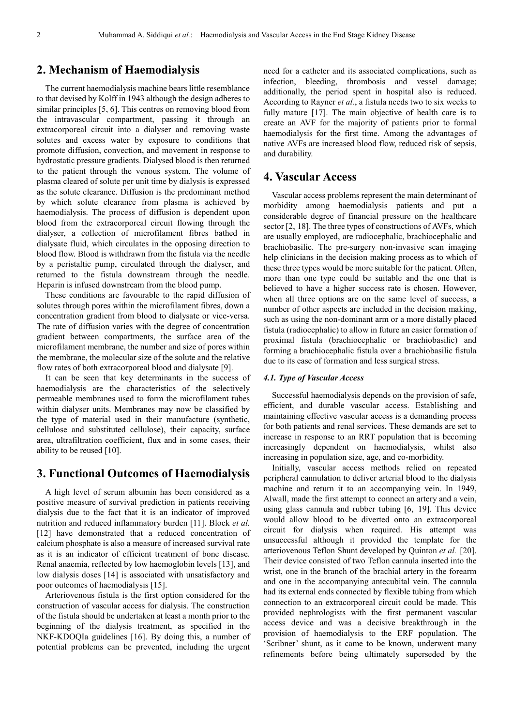## **2. Mechanism of Haemodialysis**

The current haemodialysis machine bears little resemblance to that devised by Kolff in 1943 although the design adheres to similar principles [5, 6]. This centres on removing blood from the intravascular compartment, passing it through an extracorporeal circuit into a dialyser and removing waste solutes and excess water by exposure to conditions that promote diffusion, convection, and movement in response to hydrostatic pressure gradients. Dialysed blood is then returned to the patient through the venous system. The volume of plasma cleared of solute per unit time by dialysis is expressed as the solute clearance. Diffusion is the predominant method by which solute clearance from plasma is achieved by haemodialysis. The process of diffusion is dependent upon blood from the extracorporeal circuit flowing through the dialyser, a collection of microfilament fibres bathed in dialysate fluid, which circulates in the opposing direction to blood flow. Blood is withdrawn from the fistula via the needle by a peristaltic pump, circulated through the dialyser, and returned to the fistula downstream through the needle. Heparin is infused downstream from the blood pump.

These conditions are favourable to the rapid diffusion of solutes through pores within the microfilament fibres, down a concentration gradient from blood to dialysate or vice-versa. The rate of diffusion varies with the degree of concentration gradient between compartments, the surface area of the microfilament membrane, the number and size of pores within the membrane, the molecular size of the solute and the relative flow rates of both extracorporeal blood and dialysate [9].

It can be seen that key determinants in the success of haemodialysis are the characteristics of the selectively permeable membranes used to form the microfilament tubes within dialyser units. Membranes may now be classified by the type of material used in their manufacture (synthetic, cellulose and substituted cellulose), their capacity, surface area, ultrafiltration coefficient, flux and in some cases, their ability to be reused [10].

## **3. Functional Outcomes of Haemodialysis**

A high level of serum albumin has been considered as a positive measure of survival prediction in patients receiving dialysis due to the fact that it is an indicator of improved nutrition and reduced inflammatory burden [11]. Block *et al.* [12] have demonstrated that a reduced concentration of calcium phosphate is also a measure of increased survival rate as it is an indicator of efficient treatment of bone disease. Renal anaemia, reflected by low haemoglobin levels [13], and low dialysis doses [14] is associated with unsatisfactory and poor outcomes of haemodialysis [15].

Arteriovenous fistula is the first option considered for the construction of vascular access for dialysis. The construction of the fistula should be undertaken at least a month prior to the beginning of the dialysis treatment, as specified in the NKF-KDOQIa guidelines [16]. By doing this, a number of potential problems can be prevented, including the urgent need for a catheter and its associated complications, such as infection, bleeding, thrombosis and vessel damage; additionally, the period spent in hospital also is reduced. According to Rayner *et al.*, a fistula needs two to six weeks to fully mature [17]. The main objective of health care is to create an AVF for the majority of patients prior to formal haemodialysis for the first time. Among the advantages of native AVFs are increased blood flow, reduced risk of sepsis, and durability.

## **4. Vascular Access**

Vascular access problems represent the main determinant of morbidity among haemodialysis patients and put a considerable degree of financial pressure on the healthcare sector [2, 18]. The three types of constructions of AVFs, which are usually employed, are radiocephalic, brachiocephalic and brachiobasilic. The pre-surgery non-invasive scan imaging help clinicians in the decision making process as to which of these three types would be more suitable for the patient. Often, more than one type could be suitable and the one that is believed to have a higher success rate is chosen. However, when all three options are on the same level of success, a number of other aspects are included in the decision making, such as using the non-dominant arm or a more distally placed fistula (radiocephalic) to allow in future an easier formation of proximal fistula (brachiocephalic or brachiobasilic) and forming a brachiocephalic fistula over a brachiobasilic fistula due to its ease of formation and less surgical stress.

#### *4.1. Type of Vascular Access*

Successful haemodialysis depends on the provision of safe, efficient, and durable vascular access. Establishing and maintaining effective vascular access is a demanding process for both patients and renal services. These demands are set to increase in response to an RRT population that is becoming increasingly dependent on haemodialysis, whilst also increasing in population size, age, and co-morbidity.

Initially, vascular access methods relied on repeated peripheral cannulation to deliver arterial blood to the dialysis machine and return it to an accompanying vein. In 1949, Alwall, made the first attempt to connect an artery and a vein, using glass cannula and rubber tubing [6, 19]. This device would allow blood to be diverted onto an extracorporeal circuit for dialysis when required. His attempt was unsuccessful although it provided the template for the arteriovenous Teflon Shunt developed by Quinton *et al.* [20]. Their device consisted of two Teflon cannula inserted into the wrist, one in the branch of the brachial artery in the forearm and one in the accompanying antecubital vein. The cannula had its external ends connected by flexible tubing from which connection to an extracorporeal circuit could be made. This provided nephrologists with the first permanent vascular access device and was a decisive breakthrough in the provision of haemodialysis to the ERF population. The 'Scribner' shunt, as it came to be known, underwent many refinements before being ultimately superseded by the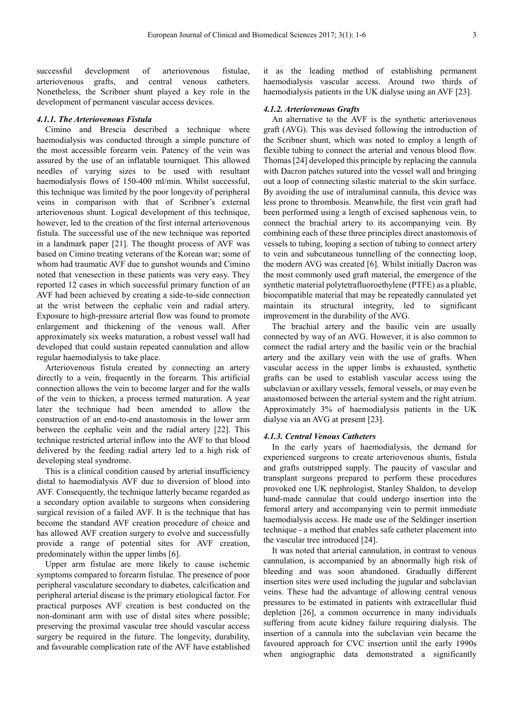successful development of arteriovenous fistulae, arteriovenous grafts, and central venous catheters. Nonetheless, the Scribner shunt played a key role in the development of permanent vascular access devices.

#### *4.1.1. The Arteriovenous Fistula*

Cimino and Brescia described a technique where haemodialysis was conducted through a simple puncture of the most accessible forearm vein. Patency of the vein was assured by the use of an inflatable tourniquet. This allowed needles of varying sizes to be used with resultant haemodialysis flows of 150-400 ml/min. Whilst successful, this technique was limited by the poor longevity of peripheral veins in comparison with that of Scribner's external arteriovenous shunt. Logical development of this technique, however, led to the creation of the first internal arteriovenous fistula. The successful use of the new technique was reported in a landmark paper [21]. The thought process of AVF was based on Cimino treating veterans of the Korean war; some of whom had traumatic AVF due to gunshot wounds and Cimino noted that venesection in these patients was very easy. They reported 12 cases in which successful primary function of an AVF had been achieved by creating a side-to-side connection at the wrist between the cephalic vein and radial artery. Exposure to high-pressure arterial flow was found to promote enlargement and thickening of the venous wall. After approximately six weeks maturation, a robust vessel wall had developed that could sustain repeated cannulation and allow regular haemodialysis to take place.

Arteriovenous fistula created by connecting an artery directly to a vein, frequently in the forearm. This artificial connection allows the vein to become larger and for the walls of the vein to thicken, a process termed maturation. A year later the technique had been amended to allow the construction of an end-to-end anastomosis in the lower arm between the cephalic vein and the radial artery [22]. This technique restricted arterial inflow into the AVF to that blood delivered by the feeding radial artery led to a high risk of developing steal syndrome.

This is a clinical condition caused by arterial insufficiency distal to haemodialysis AVF due to diversion of blood into AVF. Consequently, the technique latterly became regarded as a secondary option available to surgeons when considering surgical revision of a failed AVF. It is the technique that has become the standard AVF creation procedure of choice and has allowed AVF creation surgery to evolve and successfully provide a range of potential sites for AVF creation, predominately within the upper limbs [6].

Upper arm fistulae are more likely to cause ischemic symptoms compared to forearm fistulae. The presence of poor peripheral vasculature secondary to diabetes, calcification and peripheral arterial disease is the primary etiological factor. For practical purposes AVF creation is best conducted on the non-dominant arm with use of distal sites where possible; preserving the proximal vascular tree should vascular access surgery be required in the future. The longevity, durability, and favourable complication rate of the AVF have established it as the leading method of establishing permanent haemodialysis vascular access. Around two thirds of haemodialysis patients in the UK dialyse using an AVF [23].

#### *4.1.2. Arteriovenous Grafts*

An alternative to the AVF is the synthetic arteriovenous graft (AVG). This was devised following the introduction of the Scribner shunt, which was noted to employ a length of flexible tubing to connect the arterial and venous blood flow. Thomas [24] developed this principle by replacing the cannula with Dacron patches sutured into the vessel wall and bringing out a loop of connecting silastic material to the skin surface. By avoiding the use of intraluminal cannula, this device was less prone to thrombosis. Meanwhile, the first vein graft had been performed using a length of excised saphenous vein, to connect the brachial artery to its accompanying vein. By combining each of these three principles direct anastomosis of vessels to tubing, looping a section of tubing to connect artery to vein and subcutaneous tunnelling of the connecting loop, the modern AVG was created [6]. Whilst initially Dacron was the most commonly used graft material, the emergence of the synthetic material polytetrafluoroethylene (PTFE) as a pliable, biocompatible material that may be repeatedly cannulated yet maintain its structural integrity, led to significant improvement in the durability of the AVG.

The brachial artery and the basilic vein are usually connected by way of an AVG. However, it is also common to connect the radial artery and the basilic vein or the brachial artery and the axillary vein with the use of grafts. When vascular access in the upper limbs is exhausted, synthetic grafts can be used to establish vascular access using the subclavian or axillary vessels, femoral vessels, or may even be anastomosed between the arterial system and the right atrium. Approximately 3% of haemodialysis patients in the UK dialyse via an AVG at present [23].

#### *4.1.3. Central Venous Catheters*

In the early years of haemodialysis, the demand for experienced surgeons to create arteriovenous shunts, fistula and grafts outstripped supply. The paucity of vascular and transplant surgeons prepared to perform these procedures provoked one UK nephrologist, Stanley Shaldon, to develop hand-made cannulae that could undergo insertion into the femoral artery and accompanying vein to permit immediate haemodialysis access. He made use of the Seldinger insertion technique - a method that enables safe catheter placement into the vascular tree introduced [24].

It was noted that arterial cannulation, in contrast to venous cannulation, is accompanied by an abnormally high risk of bleeding and was soon abandoned. Gradually different insertion sites were used including the jugular and subclavian veins. These had the advantage of allowing central venous pressures to be estimated in patients with extracellular fluid depletion [26], a common occurrence in many individuals suffering from acute kidney failure requiring dialysis. The insertion of a cannula into the subclavian vein became the favoured approach for CVC insertion until the early 1990s when angiographic data demonstrated a significantly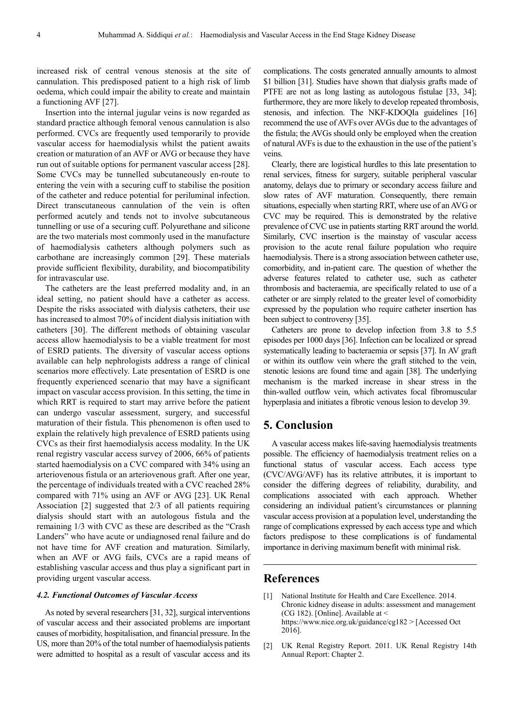increased risk of central venous stenosis at the site of cannulation. This predisposed patient to a high risk of limb oedema, which could impair the ability to create and maintain a functioning AVF [27].

Insertion into the internal jugular veins is now regarded as standard practice although femoral venous cannulation is also performed. CVCs are frequently used temporarily to provide vascular access for haemodialysis whilst the patient awaits creation or maturation of an AVF or AVG or because they have run out of suitable options for permanent vascular access [28]. Some CVCs may be tunnelled subcutaneously en-route to entering the vein with a securing cuff to stabilise the position of the catheter and reduce potential for periluminal infection. Direct transcutaneous cannulation of the vein is often performed acutely and tends not to involve subcutaneous tunnelling or use of a securing cuff. Polyurethane and silicone are the two materials most commonly used in the manufacture of haemodialysis catheters although polymers such as carbothane are increasingly common [29]. These materials provide sufficient flexibility, durability, and biocompatibility for intravascular use.

The catheters are the least preferred modality and, in an ideal setting, no patient should have a catheter as access. Despite the risks associated with dialysis catheters, their use has increased to almost 70% of incident dialysis initiation with catheters [30]. The different methods of obtaining vascular access allow haemodialysis to be a viable treatment for most of ESRD patients. The diversity of vascular access options available can help nephrologists address a range of clinical scenarios more effectively. Late presentation of ESRD is one frequently experienced scenario that may have a significant impact on vascular access provision. In this setting, the time in which RRT is required to start may arrive before the patient can undergo vascular assessment, surgery, and successful maturation of their fistula. This phenomenon is often used to explain the relatively high prevalence of ESRD patients using CVCs as their first haemodialysis access modality. In the UK renal registry vascular access survey of 2006, 66% of patients started haemodialysis on a CVC compared with 34% using an arteriovenous fistula or an arteriovenous graft. After one year, the percentage of individuals treated with a CVC reached 28% compared with 71% using an AVF or AVG [23]. UK Renal Association [2] suggested that 2/3 of all patients requiring dialysis should start with an autologous fistula and the remaining 1/3 with CVC as these are described as the "Crash Landers" who have acute or undiagnosed renal failure and do not have time for AVF creation and maturation. Similarly, when an AVF or AVG fails, CVCs are a rapid means of establishing vascular access and thus play a significant part in providing urgent vascular access.

#### *4.2. Functional Outcomes of Vascular Access*

As noted by several researchers [31, 32], surgical interventions of vascular access and their associated problems are important causes of morbidity, hospitalisation, and financial pressure. In the US, more than 20% of the total number of haemodialysis patients were admitted to hospital as a result of vascular access and its

complications. The costs generated annually amounts to almost \$1 billion [31]. Studies have shown that dialysis grafts made of PTFE are not as long lasting as autologous fistulae [33, 34]; furthermore, they are more likely to develop repeated thrombosis, stenosis, and infection. The NKF-KDOQIa guidelines [16] recommend the use of AVFs over AVGs due to the advantages of the fistula; the AVGs should only be employed when the creation of natural AVFs is due to the exhaustion in the use of the patient's veins.

Clearly, there are logistical hurdles to this late presentation to renal services, fitness for surgery, suitable peripheral vascular anatomy, delays due to primary or secondary access failure and slow rates of AVF maturation. Consequently, there remain situations, especially when starting RRT, where use of an AVG or CVC may be required. This is demonstrated by the relative prevalence of CVC use in patients starting RRT around the world. Similarly, CVC insertion is the mainstay of vascular access provision to the acute renal failure population who require haemodialysis. There is a strong association between catheter use, comorbidity, and in-patient care. The question of whether the adverse features related to catheter use, such as catheter thrombosis and bacteraemia, are specifically related to use of a catheter or are simply related to the greater level of comorbidity expressed by the population who require catheter insertion has been subject to controversy [35].

Catheters are prone to develop infection from 3.8 to 5.5 episodes per 1000 days [36]. Infection can be localized or spread systematically leading to bacteraemia or sepsis [37]. In AV graft or within its outflow vein where the graft stitched to the vein, stenotic lesions are found time and again [38]. The underlying mechanism is the marked increase in shear stress in the thin-walled outflow vein, which activates focal fibromuscular hyperplasia and initiates a fibrotic venous lesion to develop 39.

## **5. Conclusion**

A vascular access makes life-saving haemodialysis treatments possible. The efficiency of haemodialysis treatment relies on a functional status of vascular access. Each access type (CVC/AVG/AVF) has its relative attributes, it is important to consider the differing degrees of reliability, durability, and complications associated with each approach. Whether considering an individual patient's circumstances or planning vascular access provision at a population level, understanding the range of complications expressed by each access type and which factors predispose to these complications is of fundamental importance in deriving maximum benefit with minimal risk.

#### **References**

- [1] National Institute for Health and Care Excellence. 2014. Chronic kidney disease in adults: assessment and management (CG 182). [Online]. Available at  $\leq$ https://www.nice.org.uk/guidance/cg182 > [Accessed Oct 2016].
- [2] UK Renal Registry Report. 2011. UK Renal Registry 14th Annual Report: Chapter 2.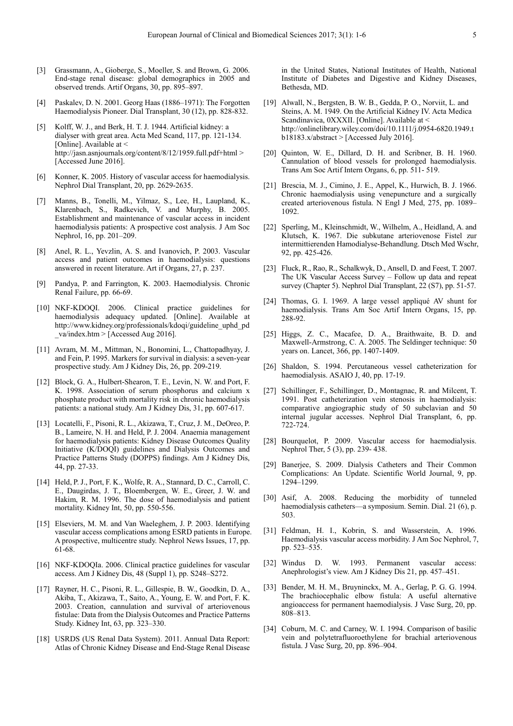- [3] Grassmann, A., Gioberge, S., Moeller, S. and Brown, G. 2006. End-stage renal disease: global demographics in 2005 and observed trends. Artif Organs, 30, pp. 895–897.
- [4] Paskalev, D. N. 2001. Georg Haas (1886–1971): The Forgotten Haemodialysis Pioneer. Dial Transplant, 30 (12), pp. 828-832.
- [5] Kolff, W. J., and Berk, H. T. J. 1944. Artificial kidney: a dialyser with great area. Acta Med Scand, 117, pp. 121-134. [Online]. Available at  $\leq$ http://jasn.asnjournals.org/content/8/12/1959.full.pdf+html > [Accessed June 2016].
- [6] Konner, K. 2005. History of vascular access for haemodialysis. Nephrol Dial Transplant, 20, pp. 2629-2635.
- [7] Manns, B., Tonelli, M., Yilmaz, S., Lee, H., Laupland, K., Klarenbach, S., Radkevich, V. and Murphy, B. 2005. Establishment and maintenance of vascular access in incident haemodialysis patients: A prospective cost analysis. J Am Soc Nephrol, 16, pp. 201–209.
- [8] Anel, R. L., Yevzlin, A. S. and Ivanovich, P. 2003. Vascular access and patient outcomes in haemodialysis: questions answered in recent literature. Art if Organs, 27, p. 237.
- [9] Pandya, P. and Farrington, K. 2003. Haemodialysis. Chronic Renal Failure, pp. 66-69.
- [10] NKF-KDOQI. 2006. Clinical practice guidelines for haemodialysis adequacy updated. [Online]. Available at http://www.kidney.org/professionals/kdoqi/guideline\_uphd\_pd  $va/index.htm$  > [Accessed Aug 2016].
- [11] Avram, M. M., Mittman, N., Bonomini, L., Chattopadhyay, J. and Fein, P. 1995. Markers for survival in dialysis: a seven-year prospective study. Am J Kidney Dis, 26, pp. 209-219.
- [12] Block, G. A., Hulbert-Shearon, T. E., Levin, N. W. and Port, F. K. 1998. Association of serum phosphorus and calcium x phosphate product with mortality risk in chronic haemodialysis patients: a national study. Am J Kidney Dis, 31, pp. 607-617.
- [13] Locatelli, F., Pisoni, R. L., Akizawa, T., Cruz, J. M., DeOreo, P. B., Lameire, N. H. and Held, P. J. 2004. Anaemia management for haemodialysis patients: Kidney Disease Outcomes Quality Initiative (K/DOQI) guidelines and Dialysis Outcomes and Practice Patterns Study (DOPPS) findings. Am J Kidney Dis, 44, pp. 27-33.
- [14] Held, P. J., Port, F. K., Wolfe, R. A., Stannard, D. C., Carroll, C. E., Daugirdas, J. T., Bloembergen, W. E., Greer, J. W. and Hakim, R. M. 1996. The dose of haemodialysis and patient mortality. Kidney Int, 50, pp. 550-556.
- [15] Elseviers, M. M. and Van Waeleghem, J. P. 2003. Identifying vascular access complications among ESRD patients in Europe. A prospective, multicentre study. Nephrol News Issues, 17, pp. 61-68.
- [16] NKF-KDOQIa. 2006. Clinical practice guidelines for vascular access. Am J Kidney Dis, 48 (Suppl 1), pp. S248–S272.
- [17] Rayner, H. C., Pisoni, R. L., Gillespie, B. W., Goodkin, D. A., Akiba, T., Akizawa, T., Saito, A., Young, E. W. and Port, F. K. 2003. Creation, cannulation and survival of arteriovenous fistulae: Data from the Dialysis Outcomes and Practice Patterns Study. Kidney Int, 63, pp. 323–330.
- [18] USRDS (US Renal Data System). 2011. Annual Data Report: Atlas of Chronic Kidney Disease and End-Stage Renal Disease

in the United States, National Institutes of Health, National Institute of Diabetes and Digestive and Kidney Diseases, Bethesda, MD.

- [19] Alwall, N., Bergsten, B. W. B., Gedda, P. O., Norviit, L. and Steins, A. M. 1949. On the Artificial Kidney IV. Acta Medica Scandinavica, 0XXXII. [Online]. Available at < http://onlinelibrary.wiley.com/doi/10.1111/j.0954-6820.1949.t b18183.x/abstract > [Accessed July 2016].
- [20] Ouinton, W. E., Dillard, D. H. and Scribner, B. H. 1960. Cannulation of blood vessels for prolonged haemodialysis. Trans Am Soc Artif Intern Organs, 6, pp. 511- 519.
- [21] Brescia, M. J., Cimino, J. E., Appel, K., Hurwich, B. J. 1966. Chronic haemodialysis using venepuncture and a surgically created arteriovenous fistula. N Engl J Med, 275, pp. 1089– 1092.
- [22] Sperling, M., Kleinschmidt, W., Wilhelm, A., Heidland, A. and Klutsch, K. 1967. Die subkutane arteriovenose Fistel zur intermittierenden Hamodialyse-Behandlung. Dtsch Med Wschr, 92, pp. 425-426.
- [23] Fluck, R., Rao, R., Schalkwyk, D., Ansell, D. and Feest, T. 2007. The UK Vascular Access Survey – Follow up data and repeat survey (Chapter 5). Nephrol Dial Transplant, 22 (S7), pp. 51-57.
- [24] Thomas, G. I. 1969. A large vessel appliqué AV shunt for haemodialysis. Trans Am Soc Artif Intern Organs, 15, pp. 288-92.
- [25] Higgs, Z. C., Macafee, D. A., Braithwaite, B. D. and Maxwell-Armstrong, C. A. 2005. The Seldinger technique: 50 years on. Lancet, 366, pp. 1407-1409.
- [26] Shaldon, S. 1994. Percutaneous vessel catheterization for haemodialysis. ASAIO J, 40, pp. 17-19.
- [27] Schillinger, F., Schillinger, D., Montagnac, R. and Milcent, T. 1991. Post catheterization vein stenosis in haemodialysis: comparative angiographic study of 50 subclavian and 50 internal jugular accesses. Nephrol Dial Transplant, 6, pp. 722-724.
- [28] Bourquelot, P. 2009. Vascular access for haemodialysis. Nephrol Ther, 5 (3), pp. 239- 438.
- [29] Banerjee, S. 2009. Dialysis Catheters and Their Common Complications: An Update. Scientific World Journal, 9, pp. 1294–1299.
- [30] Asif, A. 2008. Reducing the morbidity of tunneled haemodialysis catheters—a symposium. Semin. Dial. 21 (6), p. 503.
- [31] Feldman, H. I., Kobrin, S. and Wasserstein, A. 1996. Haemodialysis vascular access morbidity. J Am Soc Nephrol, 7, pp. 523–535.
- [32] Windus D. W. 1993. Permanent vascular access: Anephrologist's view. Am J Kidney Dis 21, pp. 457–451.
- [33] Bender, M. H. M., Bruyninckx, M. A., Gerlag, P. G. G. 1994. The brachiocephalic elbow fistula: A useful alternative angioaccess for permanent haemodialysis. J Vasc Surg, 20, pp. 808–813.
- [34] Coburn, M. C. and Carney, W. I. 1994. Comparison of basilic vein and polytetrafluoroethylene for brachial arteriovenous fistula. J Vasc Surg, 20, pp. 896–904.